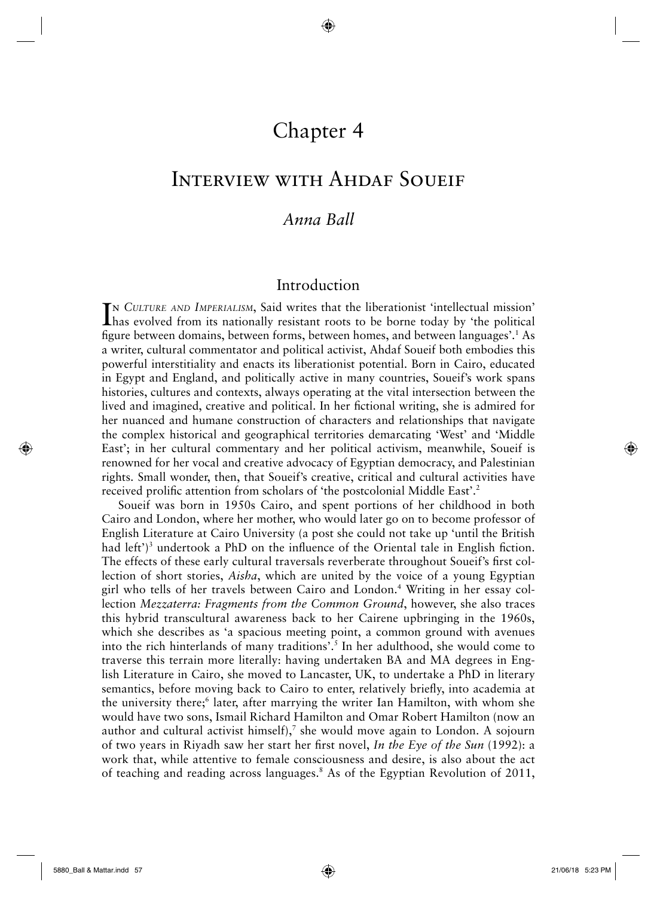# Chapter 4

⊕

## Interview with Ahdaf Soueif

## *Anna Ball*

### Introduction

IN CULTURE AND IMPERIALISM, Said writes that the liberationist 'intellectual mission' has evolved from its nationally resistant roots to be borne today by 'the political n *CULTURE AND IMPERIALISM*, Said writes that the liberationist 'intellectual mission' figure between domains, between forms, between homes, and between languages'.<sup>1</sup> As a writer, cultural commentator and political activist, Ahdaf Soueif both embodies this powerful interstitiality and enacts its liberationist potential. Born in Cairo, educated in Egypt and England, and politically active in many countries, Soueif's work spans histories, cultures and contexts, always operating at the vital intersection between the lived and imagined, creative and political. In her fictional writing, she is admired for her nuanced and humane construction of characters and relationships that navigate the complex historical and geographical territories demarcating 'West' and 'Middle East'; in her cultural commentary and her political activism, meanwhile, Soueif is renowned for her vocal and creative advocacy of Egyptian democracy, and Palestinian rights. Small wonder, then, that Soueif's creative, critical and cultural activities have received prolific attention from scholars of 'the postcolonial Middle East'.<sup>2</sup>

Soueif was born in 1950s Cairo, and spent portions of her childhood in both Cairo and London, where her mother, who would later go on to become professor of English Literature at Cairo University (a post she could not take up 'until the British had left')<sup>3</sup> undertook a PhD on the influence of the Oriental tale in English fiction. The effects of these early cultural traversals reverberate throughout Soueif's first collection of short stories, *Aisha*, which are united by the voice of a young Egyptian girl who tells of her travels between Cairo and London.4 Writing in her essay collection *Mezzaterra: Fragments from the Common Ground*, however, she also traces this hybrid transcultural awareness back to her Cairene upbringing in the 1960s, which she describes as 'a spacious meeting point, a common ground with avenues into the rich hinterlands of many traditions'.<sup>5</sup> In her adulthood, she would come to traverse this terrain more literally: having undertaken BA and MA degrees in English Literature in Cairo, she moved to Lancaster, UK, to undertake a PhD in literary semantics, before moving back to Cairo to enter, relatively briefly, into academia at the university there;<sup>6</sup> later, after marrying the writer Ian Hamilton, with whom she would have two sons, Ismail Richard Hamilton and Omar Robert Hamilton (now an author and cultural activist himself), $^7$  she would move again to London. A sojourn of two years in Riyadh saw her start her first novel, In the Eye of the Sun (1992): a work that, while attentive to female consciousness and desire, is also about the act of teaching and reading across languages.<sup>8</sup> As of the Egyptian Revolution of 2011,

⊕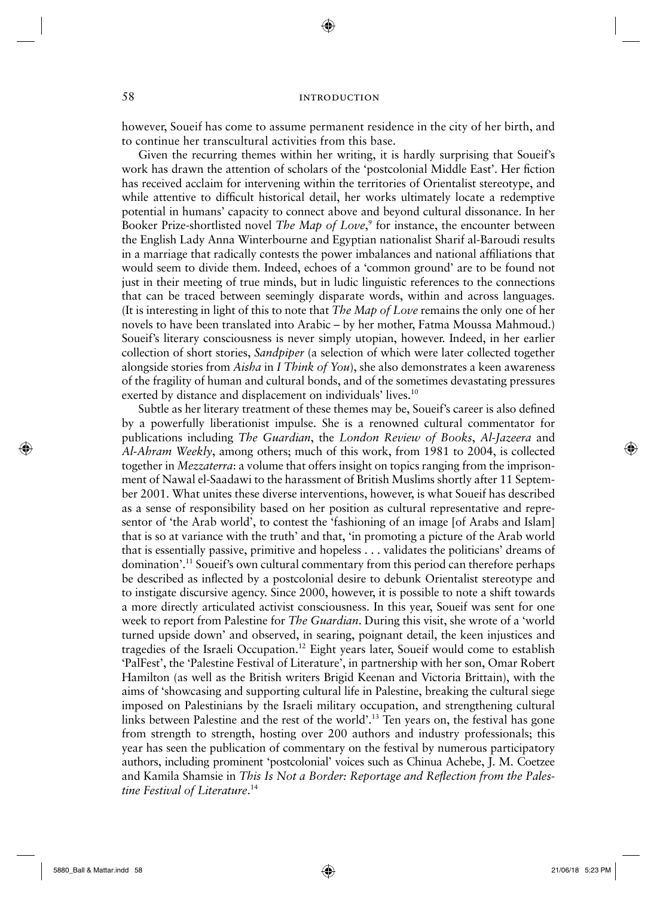◈

however, Soueif has come to assume permanent residence in the city of her birth, and to continue her transcultural activities from this base.

Given the recurring themes within her writing, it is hardly surprising that Soueif's work has drawn the attention of scholars of the 'postcolonial Middle East'. Her fiction has received acclaim for intervening within the territories of Orientalist stereotype, and while attentive to difficult historical detail, her works ultimately locate a redemptive potential in humans' capacity to connect above and beyond cultural dissonance. In her Booker Prize-shortlisted novel *The Map of Love*,<sup>9</sup> for instance, the encounter between the English Lady Anna Winterbourne and Egyptian nationalist Sharif al-Baroudi results in a marriage that radically contests the power imbalances and national affiliations that would seem to divide them. Indeed, echoes of a 'common ground' are to be found not just in their meeting of true minds, but in ludic linguistic references to the connections that can be traced between seemingly disparate words, within and across languages. (It is interesting in light of this to note that *The Map of Love* remains the only one of her novels to have been translated into Arabic – by her mother, Fatma Moussa Mahmoud.) Soueif's literary consciousness is never simply utopian, however. Indeed, in her earlier collection of short stories, *Sandpiper* (a selection of which were later collected together alongside stories from *Aisha* in *I Think of You*), she also demonstrates a keen awareness of the fragility of human and cultural bonds, and of the sometimes devastating pressures exerted by distance and displacement on individuals' lives.<sup>10</sup>

Subtle as her literary treatment of these themes may be, Soueif's career is also defined by a powerfully liberationist impulse. She is a renowned cultural commentator for publications including *The Guardian*, the *London Review of Books*, *Al-Jazeera* and *Al-Ahram Weekly*, among others; much of this work, from 1981 to 2004, is collected together in *Mezzaterra*: a volume that offers insight on topics ranging from the imprisonment of Nawal el-Saadawi to the harassment of British Muslims shortly after 11 September 2001. What unites these diverse interventions, however, is what Soueif has described as a sense of responsibility based on her position as cultural representative and representor of 'the Arab world', to contest the 'fashioning of an image [of Arabs and Islam] that is so at variance with the truth' and that, 'in promoting a picture of the Arab world that is essentially passive, primitive and hopeless . . . validates the politicians' dreams of domination'.11 Soueif's own cultural commentary from this period can therefore perhaps be described as inflected by a postcolonial desire to debunk Orientalist stereotype and to instigate discursive agency. Since 2000, however, it is possible to note a shift towards a more directly articulated activist consciousness. In this year, Soueif was sent for one week to report from Palestine for *The Guardian*. During this visit, she wrote of a 'world turned upside down' and observed, in searing, poignant detail, the keen injustices and tragedies of the Israeli Occupation.<sup>12</sup> Eight years later, Soueif would come to establish 'PalFest', the 'Palestine Festival of Literature', in partnership with her son, Omar Robert Hamilton (as well as the British writers Brigid Keenan and Victoria Brittain), with the aims of 'showcasing and supporting cultural life in Palestine, breaking the cultural siege imposed on Palestinians by the Israeli military occupation, and strengthening cultural links between Palestine and the rest of the world'.<sup>13</sup> Ten years on, the festival has gone from strength to strength, hosting over 200 authors and industry professionals; this year has seen the publication of commentary on the festival by numerous participatory authors, including prominent 'postcolonial' voices such as Chinua Achebe, J. M. Coetzee and Kamila Shamsie in *This Is Not a Border: Reportage and Reflection from the Palestine Festival of Literature*. 14

⊕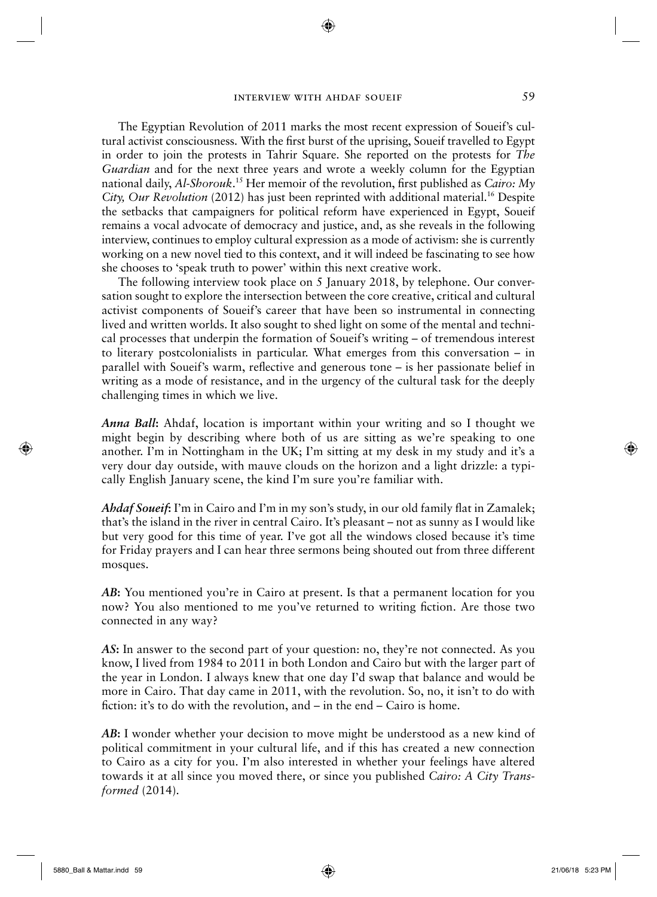#### interview with ahdaf soueif 59

◈

The Egyptian Revolution of 2011 marks the most recent expression of Soueif's cultural activist consciousness. With the first burst of the uprising, Soueif travelled to Egypt in order to join the protests in Tahrir Square. She reported on the protests for *The Guardian* and for the next three years and wrote a weekly column for the Egyptian national daily, *Al-Shorouk*.<sup>15</sup> Her memoir of the revolution, first published as *Cairo*: My *City, Our Revolution* (2012) has just been reprinted with additional material.<sup>16</sup> Despite the setbacks that campaigners for political reform have experienced in Egypt, Soueif remains a vocal advocate of democracy and justice, and, as she reveals in the following interview, continues to employ cultural expression as a mode of activism: she is currently working on a new novel tied to this context, and it will indeed be fascinating to see how she chooses to 'speak truth to power' within this next creative work.

The following interview took place on 5 January 2018, by telephone. Our conversation sought to explore the intersection between the core creative, critical and cultural activist components of Soueif's career that have been so instrumental in connecting lived and written worlds. It also sought to shed light on some of the mental and technical processes that underpin the formation of Soueif's writing – of tremendous interest to literary postcolonialists in particular. What emerges from this conversation – in parallel with Soueif's warm, reflective and generous tone  $-$  is her passionate belief in writing as a mode of resistance, and in the urgency of the cultural task for the deeply challenging times in which we live.

*Anna Ball***:** Ahdaf, location is important within your writing and so I thought we might begin by describing where both of us are sitting as we're speaking to one another. I'm in Nottingham in the UK; I'm sitting at my desk in my study and it's a very dour day outside, with mauve clouds on the horizon and a light drizzle: a typically English January scene, the kind I'm sure you're familiar with.

*Ahdaf Soueif*: I'm in Cairo and I'm in my son's study, in our old family flat in Zamalek; that's the island in the river in central Cairo. It's pleasant – not as sunny as I would like but very good for this time of year. I've got all the windows closed because it's time for Friday prayers and I can hear three sermons being shouted out from three different mosques.

*AB***:** You mentioned you're in Cairo at present. Is that a permanent location for you now? You also mentioned to me you've returned to writing fiction. Are those two connected in any way?

AS: In answer to the second part of your question: no, they're not connected. As you know, I lived from 1984 to 2011 in both London and Cairo but with the larger part of the year in London. I always knew that one day I'd swap that balance and would be more in Cairo. That day came in 2011, with the revolution. So, no, it isn't to do with fiction: it's to do with the revolution, and  $-$  in the end  $-$  Cairo is home.

*AB***:** I wonder whether your decision to move might be understood as a new kind of political commitment in your cultural life, and if this has created a new connection to Cairo as a city for you. I'm also interested in whether your feelings have altered towards it at all since you moved there, or since you published *Cairo: A City Transformed* (2014)*.*

⊕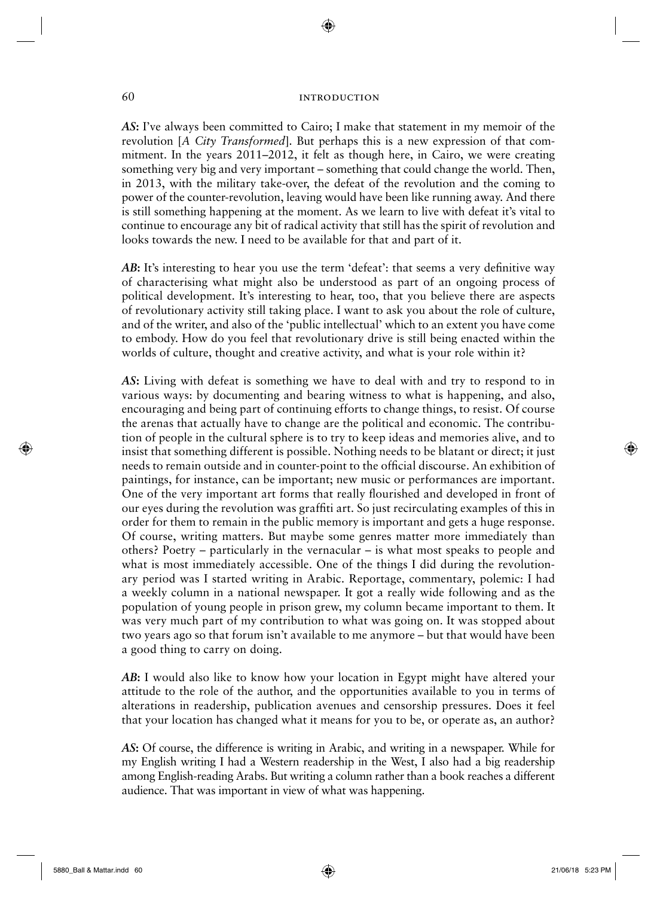◈

*AS***:** I've always been committed to Cairo; I make that statement in my memoir of the revolution [*A City Transformed*]. But perhaps this is a new expression of that commitment. In the years 2011–2012, it felt as though here, in Cairo, we were creating something very big and very important – something that could change the world. Then, in 2013, with the military take-over, the defeat of the revolution and the coming to power of the counter-revolution, leaving would have been like running away. And there is still something happening at the moment. As we learn to live with defeat it's vital to continue to encourage any bit of radical activity that still has the spirit of revolution and looks towards the new. I need to be available for that and part of it.

AB: It's interesting to hear you use the term 'defeat': that seems a very definitive way of characterising what might also be understood as part of an ongoing process of political development. It's interesting to hear, too, that you believe there are aspects of revolutionary activity still taking place. I want to ask you about the role of culture, and of the writer, and also of the 'public intellectual' which to an extent you have come to embody. How do you feel that revolutionary drive is still being enacted within the worlds of culture, thought and creative activity, and what is your role within it?

*AS***:** Living with defeat is something we have to deal with and try to respond to in various ways: by documenting and bearing witness to what is happening, and also, encouraging and being part of continuing efforts to change things, to resist. Of course the arenas that actually have to change are the political and economic. The contribution of people in the cultural sphere is to try to keep ideas and memories alive, and to insist that something different is possible. Nothing needs to be blatant or direct; it just needs to remain outside and in counter-point to the official discourse. An exhibition of paintings, for instance, can be important; new music or performances are important. One of the very important art forms that really flourished and developed in front of our eyes during the revolution was graffiti art. So just recirculating examples of this in order for them to remain in the public memory is important and gets a huge response. Of course, writing matters. But maybe some genres matter more immediately than others? Poetry – particularly in the vernacular – is what most speaks to people and what is most immediately accessible. One of the things I did during the revolutionary period was I started writing in Arabic. Reportage, commentary, polemic: I had a weekly column in a national newspaper. It got a really wide following and as the population of young people in prison grew, my column became important to them. It was very much part of my contribution to what was going on. It was stopped about two years ago so that forum isn't available to me anymore – but that would have been a good thing to carry on doing.

*AB***:** I would also like to know how your location in Egypt might have altered your attitude to the role of the author, and the opportunities available to you in terms of alterations in readership, publication avenues and censorship pressures. Does it feel that your location has changed what it means for you to be, or operate as, an author?

*AS***:** Of course, the difference is writing in Arabic, and writing in a newspaper. While for my English writing I had a Western readership in the West, I also had a big readership among English-reading Arabs. But writing a column rather than a book reaches a different audience. That was important in view of what was happening.

⊕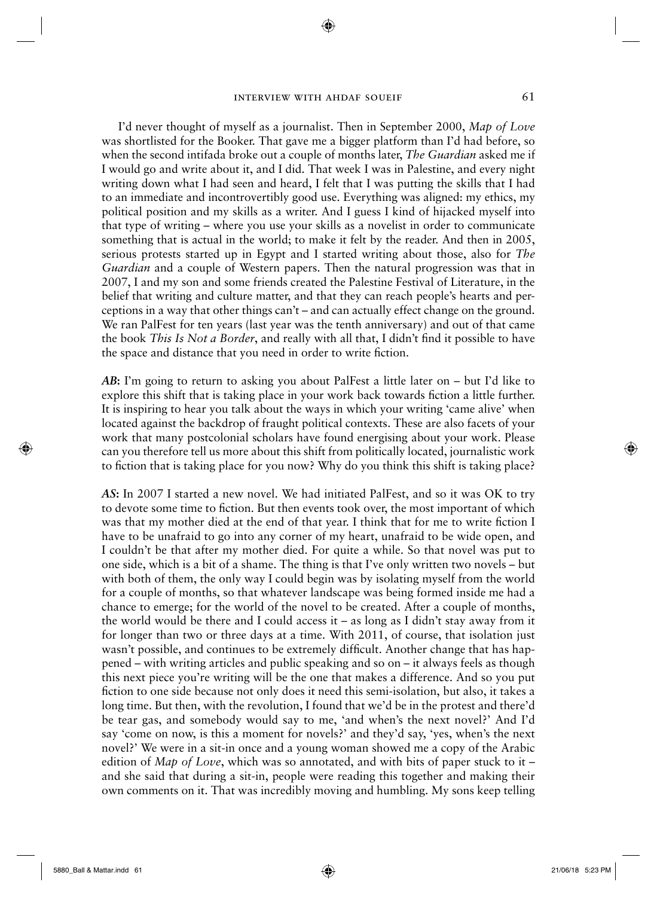#### interview with ahdaf soueif 61

◈

I'd never thought of myself as a journalist. Then in September 2000, *Map of Love*  was shortlisted for the Booker. That gave me a bigger platform than I'd had before, so when the second intifada broke out a couple of months later, *The Guardian* asked me if I would go and write about it, and I did. That week I was in Palestine, and every night writing down what I had seen and heard, I felt that I was putting the skills that I had to an immediate and incontrovertibly good use. Everything was aligned: my ethics, my political position and my skills as a writer. And I guess I kind of hijacked myself into that type of writing – where you use your skills as a novelist in order to communicate something that is actual in the world; to make it felt by the reader. And then in 2005, serious protests started up in Egypt and I started writing about those, also for *The Guardian* and a couple of Western papers. Then the natural progression was that in 2007, I and my son and some friends created the Palestine Festival of Literature, in the belief that writing and culture matter, and that they can reach people's hearts and perceptions in a way that other things can't – and can actually effect change on the ground. We ran PalFest for ten years (last year was the tenth anniversary) and out of that came the book *This Is Not a Border*, and really with all that, I didn't find it possible to have the space and distance that you need in order to write fiction.

*AB***:** I'm going to return to asking you about PalFest a little later on – but I'd like to explore this shift that is taking place in your work back towards fiction a little further. It is inspiring to hear you talk about the ways in which your writing 'came alive' when located against the backdrop of fraught political contexts. These are also facets of your work that many postcolonial scholars have found energising about your work. Please can you therefore tell us more about this shift from politically located, journalistic work to fiction that is taking place for you now? Why do you think this shift is taking place?

*AS***:** In 2007 I started a new novel. We had initiated PalFest, and so it was OK to try to devote some time to fiction. But then events took over, the most important of which was that my mother died at the end of that year. I think that for me to write fiction I have to be unafraid to go into any corner of my heart, unafraid to be wide open, and I couldn't be that after my mother died. For quite a while. So that novel was put to one side, which is a bit of a shame. The thing is that I've only written two novels – but with both of them, the only way I could begin was by isolating myself from the world for a couple of months, so that whatever landscape was being formed inside me had a chance to emerge; for the world of the novel to be created. After a couple of months, the world would be there and I could access it – as long as I didn't stay away from it for longer than two or three days at a time. With 2011, of course, that isolation just wasn't possible, and continues to be extremely difficult. Another change that has happened – with writing articles and public speaking and so on – it always feels as though this next piece you're writing will be the one that makes a difference. And so you put fiction to one side because not only does it need this semi-isolation, but also, it takes a long time. But then, with the revolution, I found that we'd be in the protest and there'd be tear gas, and somebody would say to me, 'and when's the next novel?' And I'd say 'come on now, is this a moment for novels?' and they'd say, 'yes, when's the next novel?' We were in a sit-in once and a young woman showed me a copy of the Arabic edition of *Map of Love*, which was so annotated, and with bits of paper stuck to it – and she said that during a sit-in, people were reading this together and making their own comments on it. That was incredibly moving and humbling. My sons keep telling

 $\bigcirc$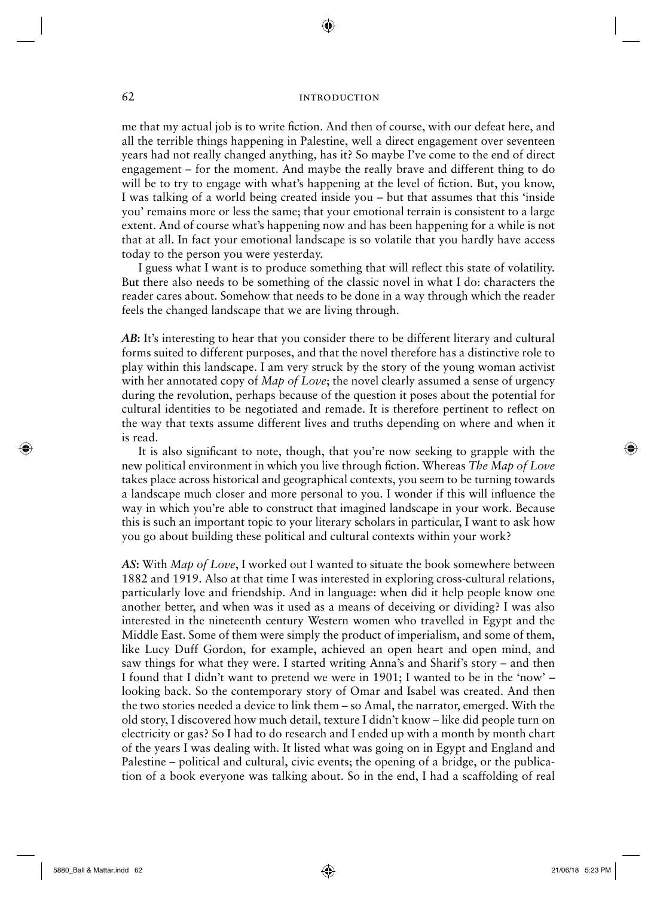◈

me that my actual job is to write fiction. And then of course, with our defeat here, and all the terrible things happening in Palestine, well a direct engagement over seventeen years had not really changed anything, has it? So maybe I've come to the end of direct engagement – for the moment. And maybe the really brave and different thing to do will be to try to engage with what's happening at the level of fiction. But, you know, I was talking of a world being created inside you – but that assumes that this 'inside you' remains more or less the same; that your emotional terrain is consistent to a large extent. And of course what's happening now and has been happening for a while is not that at all. In fact your emotional landscape is so volatile that you hardly have access today to the person you were yesterday.

I guess what I want is to produce something that will reflect this state of volatility. But there also needs to be something of the classic novel in what I do: characters the reader cares about. Somehow that needs to be done in a way through which the reader feels the changed landscape that we are living through.

*AB***:** It's interesting to hear that you consider there to be different literary and cultural forms suited to different purposes, and that the novel therefore has a distinctive role to play within this landscape. I am very struck by the story of the young woman activist with her annotated copy of *Map of Love*; the novel clearly assumed a sense of urgency during the revolution, perhaps because of the question it poses about the potential for cultural identities to be negotiated and remade. It is therefore pertinent to reflect on the way that texts assume different lives and truths depending on where and when it is read.

It is also significant to note, though, that you're now seeking to grapple with the new political environment in which you live through fiction. Whereas *The Map of Love* takes place across historical and geographical contexts, you seem to be turning towards a landscape much closer and more personal to you. I wonder if this will influence the way in which you're able to construct that imagined landscape in your work. Because this is such an important topic to your literary scholars in particular, I want to ask how you go about building these political and cultural contexts within your work?

*AS***:** With *Map of Love*, I worked out I wanted to situate the book somewhere between 1882 and 1919. Also at that time I was interested in exploring cross-cultural relations, particularly love and friendship. And in language: when did it help people know one another better, and when was it used as a means of deceiving or dividing? I was also interested in the nineteenth century Western women who travelled in Egypt and the Middle East. Some of them were simply the product of imperialism, and some of them, like Lucy Duff Gordon, for example, achieved an open heart and open mind, and saw things for what they were. I started writing Anna's and Sharif's story – and then I found that I didn't want to pretend we were in 1901; I wanted to be in the 'now' – looking back. So the contemporary story of Omar and Isabel was created. And then the two stories needed a device to link them – so Amal, the narrator, emerged. With the old story, I discovered how much detail, texture I didn't know – like did people turn on electricity or gas? So I had to do research and I ended up with a month by month chart of the years I was dealing with. It listed what was going on in Egypt and England and Palestine – political and cultural, civic events; the opening of a bridge, or the publication of a book everyone was talking about. So in the end, I had a scaffolding of real

 $\bigcirc$ 

⊕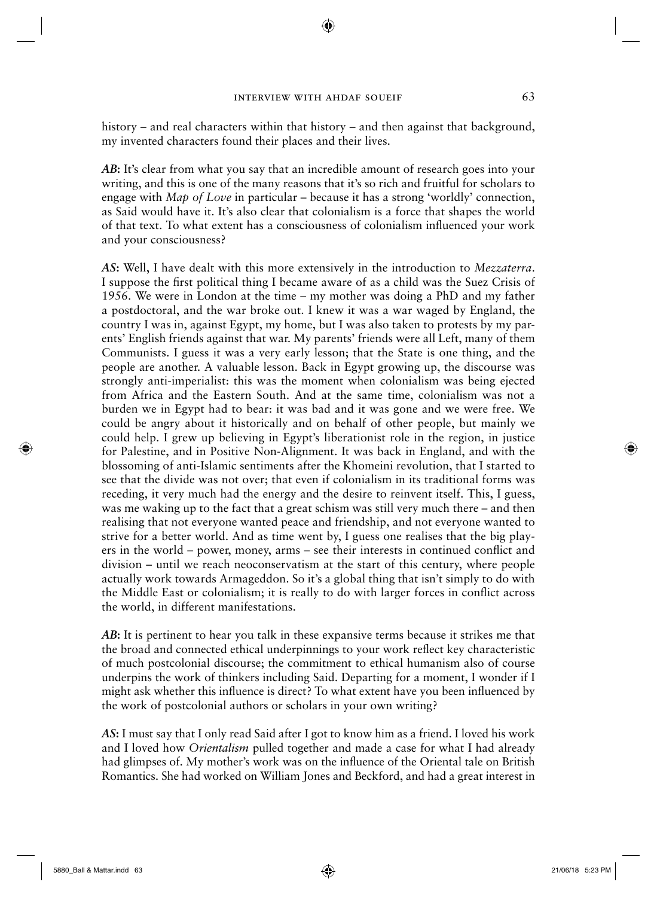◈

history – and real characters within that history – and then against that background, my invented characters found their places and their lives.

*AB***:** It's clear from what you say that an incredible amount of research goes into your writing, and this is one of the many reasons that it's so rich and fruitful for scholars to engage with *Map of Love* in particular – because it has a strong 'worldly' connection, as Said would have it. It's also clear that colonialism is a force that shapes the world of that text. To what extent has a consciousness of colonialism influenced your work and your consciousness?

*AS***:** Well, I have dealt with this more extensively in the introduction to *Mezzaterra*. I suppose the first political thing I became aware of as a child was the Suez Crisis of 1956. We were in London at the time – my mother was doing a PhD and my father a postdoctoral, and the war broke out. I knew it was a war waged by England, the country I was in, against Egypt, my home, but I was also taken to protests by my parents' English friends against that war. My parents' friends were all Left, many of them Communists. I guess it was a very early lesson; that the State is one thing, and the people are another. A valuable lesson. Back in Egypt growing up, the discourse was strongly anti-imperialist: this was the moment when colonialism was being ejected from Africa and the Eastern South. And at the same time, colonialism was not a burden we in Egypt had to bear: it was bad and it was gone and we were free. We could be angry about it historically and on behalf of other people, but mainly we could help. I grew up believing in Egypt's liberationist role in the region, in justice for Palestine, and in Positive Non-Alignment. It was back in England, and with the blossoming of anti-Islamic sentiments after the Khomeini revolution, that I started to see that the divide was not over; that even if colonialism in its traditional forms was receding, it very much had the energy and the desire to reinvent itself. This, I guess, was me waking up to the fact that a great schism was still very much there – and then realising that not everyone wanted peace and friendship, and not everyone wanted to strive for a better world. And as time went by, I guess one realises that the big players in the world – power, money, arms – see their interests in continued conflict and division – until we reach neoconservatism at the start of this century, where people actually work towards Armageddon. So it's a global thing that isn't simply to do with the Middle East or colonialism; it is really to do with larger forces in conflict across the world, in different manifestations.

*AB***:** It is pertinent to hear you talk in these expansive terms because it strikes me that the broad and connected ethical underpinnings to your work reflect key characteristic of much postcolonial discourse; the commitment to ethical humanism also of course underpins the work of thinkers including Said. Departing for a moment, I wonder if I might ask whether this influence is direct? To what extent have you been influenced by the work of postcolonial authors or scholars in your own writing?

*AS***:** I must say that I only read Said after I got to know him as a friend. I loved his work and I loved how *Orientalism* pulled together and made a case for what I had already had glimpses of. My mother's work was on the influence of the Oriental tale on British Romantics. She had worked on William Jones and Beckford, and had a great interest in

⊕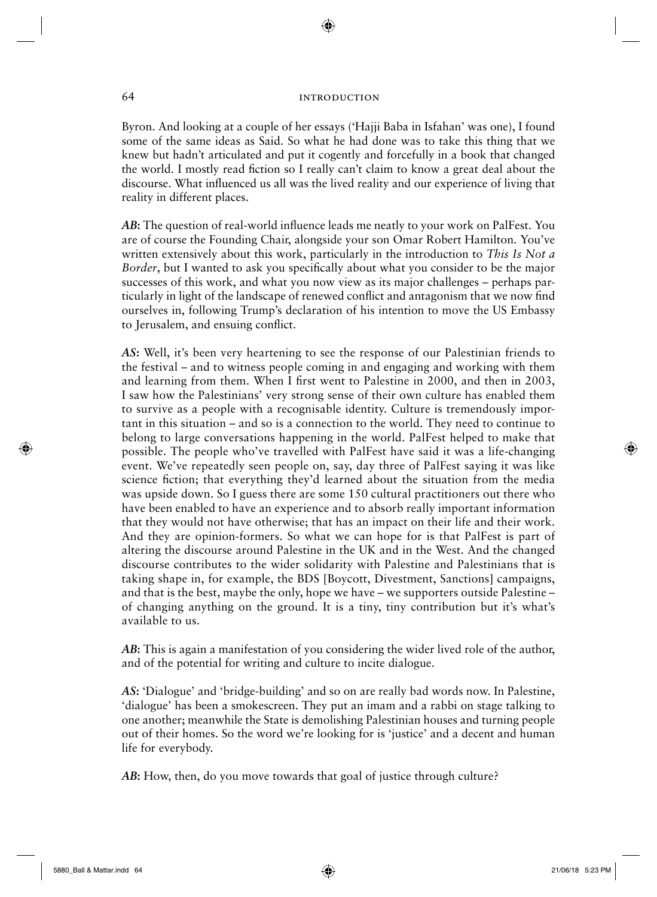◈

Byron. And looking at a couple of her essays ('Hajji Baba in Isfahan' was one), I found some of the same ideas as Said. So what he had done was to take this thing that we knew but hadn't articulated and put it cogently and forcefully in a book that changed the world. I mostly read fiction so I really can't claim to know a great deal about the discourse. What influenced us all was the lived reality and our experience of living that reality in different places.

**AB**: The question of real-world influence leads me neatly to your work on PalFest. You are of course the Founding Chair, alongside your son Omar Robert Hamilton. You've written extensively about this work, particularly in the introduction to *This Is Not a Border*, but I wanted to ask you specifically about what you consider to be the major successes of this work, and what you now view as its major challenges – perhaps particularly in light of the landscape of renewed conflict and antagonism that we now find ourselves in, following Trump's declaration of his intention to move the US Embassy to Jerusalem, and ensuing conflict.

*AS***:** Well, it's been very heartening to see the response of our Palestinian friends to the festival – and to witness people coming in and engaging and working with them and learning from them. When I first went to Palestine in 2000, and then in 2003, I saw how the Palestinians' very strong sense of their own culture has enabled them to survive as a people with a recognisable identity. Culture is tremendously important in this situation – and so is a connection to the world. They need to continue to belong to large conversations happening in the world. PalFest helped to make that possible. The people who've travelled with PalFest have said it was a life-changing event. We've repeatedly seen people on, say, day three of PalFest saying it was like science fiction; that everything they'd learned about the situation from the media was upside down. So I guess there are some 150 cultural practitioners out there who have been enabled to have an experience and to absorb really important information that they would not have otherwise; that has an impact on their life and their work. And they are opinion-formers. So what we can hope for is that PalFest is part of altering the discourse around Palestine in the UK and in the West. And the changed discourse contributes to the wider solidarity with Palestine and Palestinians that is taking shape in, for example, the BDS [Boycott, Divestment, Sanctions] campaigns, and that is the best, maybe the only, hope we have – we supporters outside Palestine – of changing anything on the ground. It is a tiny, tiny contribution but it's what's available to us.

*AB***:** This is again a manifestation of you considering the wider lived role of the author, and of the potential for writing and culture to incite dialogue.

*AS***:** 'Dialogue' and 'bridge-building' and so on are really bad words now. In Palestine, 'dialogue' has been a smokescreen. They put an imam and a rabbi on stage talking to one another; meanwhile the State is demolishing Palestinian houses and turning people out of their homes. So the word we're looking for is 'justice' and a decent and human life for everybody.

*AB***:** How, then, do you move towards that goal of justice through culture?

 $\bigcirc$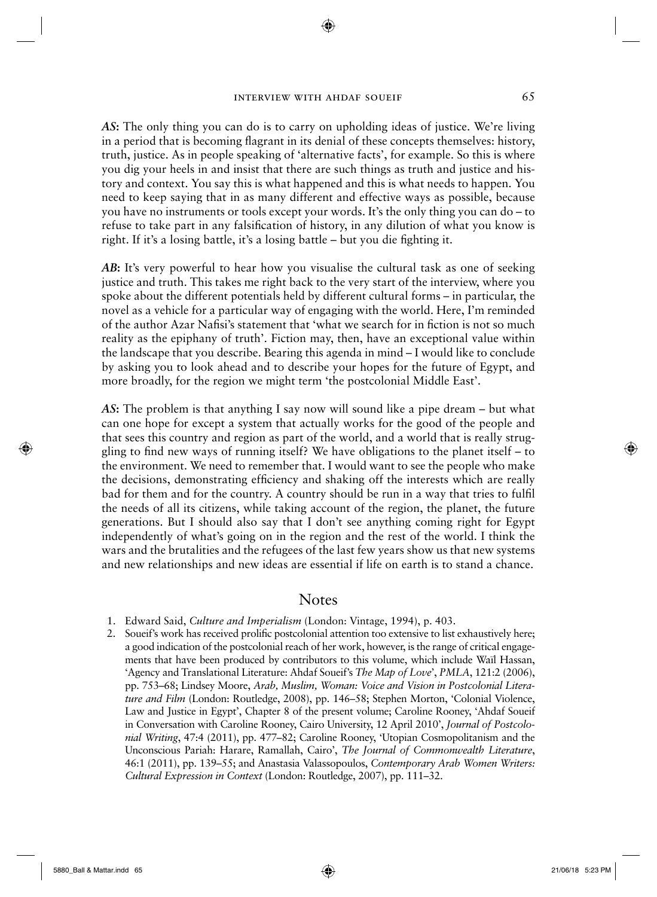#### interview with ahdaf soueif 65

◈

*AS***:** The only thing you can do is to carry on upholding ideas of justice. We're living in a period that is becoming flagrant in its denial of these concepts themselves: history, truth, justice. As in people speaking of 'alternative facts', for example. So this is where you dig your heels in and insist that there are such things as truth and justice and history and context. You say this is what happened and this is what needs to happen. You need to keep saying that in as many different and effective ways as possible, because you have no instruments or tools except your words. It's the only thing you can do – to refuse to take part in any falsification of history, in any dilution of what you know is right. If it's a losing battle, it's a losing battle – but you die fighting it.

*AB***:** It's very powerful to hear how you visualise the cultural task as one of seeking justice and truth. This takes me right back to the very start of the interview, where you spoke about the different potentials held by different cultural forms – in particular, the novel as a vehicle for a particular way of engaging with the world. Here, I'm reminded of the author Azar Nafisi's statement that 'what we search for in fiction is not so much reality as the epiphany of truth'. Fiction may, then, have an exceptional value within the landscape that you describe. Bearing this agenda in mind – I would like to conclude by asking you to look ahead and to describe your hopes for the future of Egypt, and more broadly, for the region we might term 'the postcolonial Middle East'.

*AS***:** The problem is that anything I say now will sound like a pipe dream – but what can one hope for except a system that actually works for the good of the people and that sees this country and region as part of the world, and a world that is really struggling to find new ways of running itself? We have obligations to the planet itself – to the environment. We need to remember that. I would want to see the people who make the decisions, demonstrating efficiency and shaking off the interests which are really bad for them and for the country. A country should be run in a way that tries to fulfil the needs of all its citizens, while taking account of the region, the planet, the future generations. But I should also say that I don't see anything coming right for Egypt independently of what's going on in the region and the rest of the world. I think the wars and the brutalities and the refugees of the last few years show us that new systems and new relationships and new ideas are essential if life on earth is to stand a chance.

#### Notes

- 1. Edward Said, *Culture and Imperialism* (London: Vintage, 1994), p. 403.
- 2. Soueif's work has received prolific postcolonial attention too extensive to list exhaustively here; a good indication of the postcolonial reach of her work, however, is the range of critical engagements that have been produced by contributors to this volume, which include Waïl Hassan, 'Agency and Translational Literature: Ahdaf Soueif's *The Map of Love*', *PMLA*, 121:2 (2006), pp. 753–68; Lindsey Moore, *Arab, Muslim, Woman: Voice and Vision in Postcolonial Literature and Film* (London: Routledge, 2008), pp. 146–58; Stephen Morton, 'Colonial Violence, Law and Justice in Egypt', Chapter 8 of the present volume; Caroline Rooney, 'Ahdaf Soueif in Conversation with Caroline Rooney, Cairo University, 12 April 2010', *Journal of Postcolonial Writing*, 47:4 (2011), pp. 477–82; Caroline Rooney, 'Utopian Cosmopolitanism and the Unconscious Pariah: Harare, Ramallah, Cairo', *The Journal of Commonwealth Literature*, 46:1 (2011), pp. 139–55; and Anastasia Valassopoulos, *Contemporary Arab Women Writers: Cultural Expression in Context* (London: Routledge, 2007), pp. 111–32.

⊕